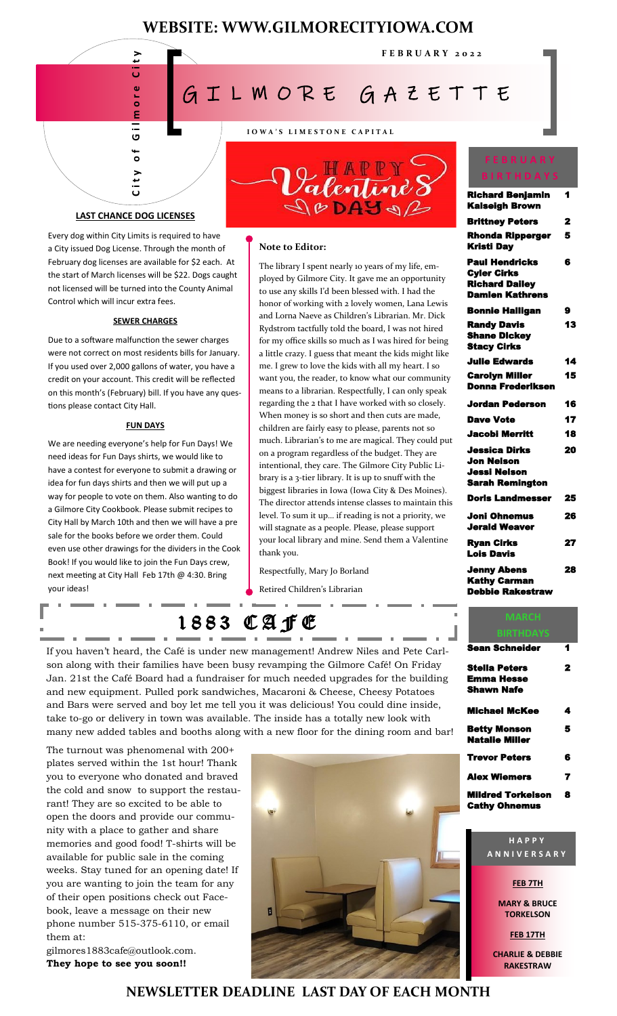# **WEBSITE: WWW.GILMORECITYIOWA.COM**

**F E B R U A R Y 2 0 2 2**



**I O W A ' S L I M E S T O N E C A P I T A L**

# **LAST CHANCE DOG LICENSES**

Every dog within City Limits is required to have a City issued Dog License. Through the month of February dog licenses are available for \$2 each. At the start of March licenses will be \$22. Dogs caught not licensed will be turned into the County Animal Control which will incur extra fees.

#### **SEWER CHARGES**

Due to a software malfunction the sewer charges were not correct on most residents bills for January. If you used over 2,000 gallons of water, you have a credit on your account. This credit will be reflected on this month's (February) bill. If you have any questions please contact City Hall.

#### **FUN DAYS**

We are needing everyone's help for Fun Days! We need ideas for Fun Days shirts, we would like to have a contest for everyone to submit a drawing or idea for fun days shirts and then we will put up a way for people to vote on them. Also wanting to do a Gilmore City Cookbook. Please submit recipes to City Hall by March 10th and then we will have a pre sale for the books before we order them. Could even use other drawings for the dividers in the Cook Book! If you would like to join the Fun Days crew, next meeting at City Hall Feb 17th @ 4:30. Bring your ideas!



#### **Note to Editor:**

FERRUARY FRIEND AT L WIORE GARD TRANSFERS CHECK AND CONTROLL INTERNATION CONTROLL INTERNATIONAL CONTROLL INTERNATIONAL CONTROLL INTERNATIONAL CONTROLL INTERNATIONAL CONTROLL INTERNATIONAL CONTROLL INTERNATIONAL CONTROLL I The library I spent nearly 10 years of my life, employed by Gilmore City. It gave me an opportunity to use any skills I'd been blessed with. I had the honor of working with 2 lovely women, Lana Lewis and Lorna Naeve as Children's Librarian. Mr. Dick Rydstrom tactfully told the board, I was not hired for my office skills so much as I was hired for being a little crazy. I guess that meant the kids might like me. I grew to love the kids with all my heart. I so want you, the reader, to know what our community means to a librarian. Respectfully, I can only speak regarding the 2 that I have worked with so closely. When money is so short and then cuts are made, children are fairly easy to please, parents not so much. Librarian's to me are magical. They could put on a program regardless of the budget. They are intentional, they care. The Gilmore City Public Library is a 3-tier library. It is up to snuff with the biggest libraries in Iowa (Iowa City & Des Moines). The director attends intense classes to maintain this level. To sum it up… if reading is not a priority, we will stagnate as a people. Please, please support your local library and mine. Send them a Valentine thank you.

Respectfully, Mary Jo Borland

Retired Children's Librarian

# 1883 CAJE

If you haven't heard, the Café is under new management! Andrew Niles and Pete Carlson along with their families have been busy revamping the Gilmore Café! On Friday Jan. 21st the Café Board had a fundraiser for much needed upgrades for the building and new equipment. Pulled pork sandwiches, Macaroni & Cheese, Cheesy Potatoes and Bars were served and boy let me tell you it was delicious! You could dine inside, take to-go or delivery in town was available. The inside has a totally new look with

The turnout was phenomenal with 200+ plates served within the 1st hour! Thank you to everyone who donated and braved the cold and snow to support the restaurant! They are so excited to be able to open the doors and provide our community with a place to gather and share memories and good food! T-shirts will be available for public sale in the coming weeks. Stay tuned for an opening date! If you are wanting to join the team for any of their open positions check out Facebook, leave a message on their new phone number 515-375-6110, or email them at:

gilmores1883cafe@outlook.com. **They hope to see you soon!!**



## **F E B R U A R Y B I R T H D A Y S**

| <b>Richard Benjamin</b><br><b>Kalseigh Brown</b>                                               | 1  |
|------------------------------------------------------------------------------------------------|----|
| <b>Brittney Peters</b>                                                                         | 2  |
| <b>Rhonda Ripperger</b><br><b>Kristi Day</b>                                                   | 5  |
| <b>Paul Hendricks</b><br><b>Cyler Cirks</b><br><b>Richard Dailey</b><br><b>Damien Kathrens</b> | 6  |
| <b>Bonnie Halligan</b>                                                                         | 9  |
| <b>Randy Davis</b><br><b>Shane Dickey</b><br><b>Stacy Cirks</b>                                | 13 |
| <b>Julie Edwards</b>                                                                           | 14 |
| <b>Carolyn Miller</b><br><b>Donna Frederiksen</b>                                              | 15 |
|                                                                                                |    |
| Jordan Pederson                                                                                | 16 |
| <b>Dave Vote</b>                                                                               | 17 |
| Jacobi Merritt                                                                                 | 18 |
| Jessica Dirks<br>Jon Nelson<br>Jessi Nelson<br>Sarah Remington                                 | 20 |
| <b>Doris Landmesser</b>                                                                        | 25 |
| Joni Ohnemus<br><b>Jerald Weaver</b>                                                           | 26 |
| <b>Ryan Cirks</b><br><b>Lois Davis</b>                                                         | 27 |

I

| Sean Schneider       | 1 |
|----------------------|---|
| Stella Peters        | 2 |
| Emma Hesse           |   |
| Shawn Nafe           |   |
| Michael McKee        | 4 |
| Betty Monson         | 5 |
| Natalie Miller       |   |
| <b>Trevor Peters</b> | 6 |
| Alex Wiemers         | 7 |
| Mildred Torkelson    | 8 |
| <b>Cathy Ohnemus</b> |   |

#### **H A P P Y A N N I V E R S A R Y**

**FEB 7TH**

**MARY & BRUCE TORKELSON**

**FEB 17TH**

**CHARLIE & DEBBIE RAKESTRAW**

# **NEWSLETTER DEADLINE LAST DAY OF EACH MONTH**